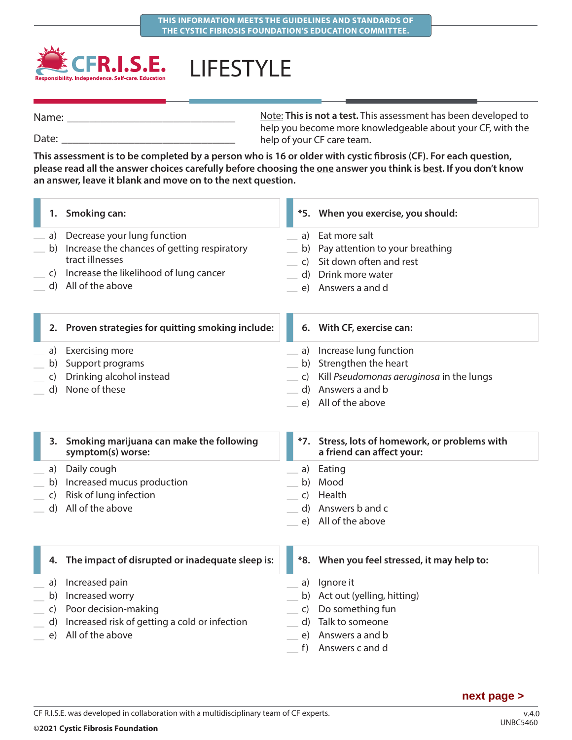

LIFESTYLE

Note: **This is not a test.** This assessment has been developed to help you become more knowledgeable about your CF, with the help of your CF care team. Name: Date:

**This assessment is to be completed by a person who is 16 or older with cystic fibrosis (CF). For each question,**  please read all the answer choices carefully before choosing the one answer you think is best. If you don't know **an answer, leave it blank and move on to the next question.**

|              | 1. Smoking can:                                                  |                | *5. When you exercise, you should:                                          |
|--------------|------------------------------------------------------------------|----------------|-----------------------------------------------------------------------------|
| a)           | Decrease your lung function                                      | a)             | Eat more salt                                                               |
| b)           | Increase the chances of getting respiratory                      | b)             | Pay attention to your breathing                                             |
|              | tract illnesses                                                  | $\overline{c}$ | Sit down often and rest                                                     |
|              | c) Increase the likelihood of lung cancer                        |                | d) Drink more water                                                         |
|              | d) All of the above                                              | e)             | Answers a and d                                                             |
|              | 2. Proven strategies for quitting smoking include:               |                | 6. With CF, exercise can:                                                   |
| a)           | <b>Exercising more</b>                                           | a)             | Increase lung function                                                      |
| b)           | Support programs                                                 | b)             | Strengthen the heart                                                        |
| C)           | Drinking alcohol instead                                         | $\mathsf{C}$   | Kill Pseudomonas aeruginosa in the lungs                                    |
| d)           | None of these                                                    |                | d) Answers a and b                                                          |
|              |                                                                  |                | e) All of the above                                                         |
|              | 3. Smoking marijuana can make the following<br>symptom(s) worse: |                | *7. Stress, lots of homework, or problems with<br>a friend can affect your: |
| a)           | Daily cough                                                      | a)             | Eating                                                                      |
|              | b) Increased mucus production                                    | b)             | Mood                                                                        |
| $\mathsf{C}$ | Risk of lung infection                                           | C)             | Health                                                                      |
| d)           | All of the above                                                 | $\mathsf{d}$   | Answers b and c                                                             |
|              |                                                                  | e)             | All of the above                                                            |
| 4.           | The impact of disrupted or inadequate sleep is:                  |                | *8. When you feel stressed, it may help to:                                 |
| a)           | Increased pain                                                   | a)             | Ignore it                                                                   |
| b)           | Increased worry                                                  | b)             | Act out (yelling, hitting)                                                  |
| $\mathsf{C}$ | Poor decision-making                                             | $\mathsf{C}$   | Do something fun                                                            |
| d)           | Increased risk of getting a cold or infection                    | d)             | Talk to someone                                                             |
| e)           | All of the above                                                 | e)             | Answers a and b                                                             |
|              |                                                                  | f)             | Answers c and d                                                             |